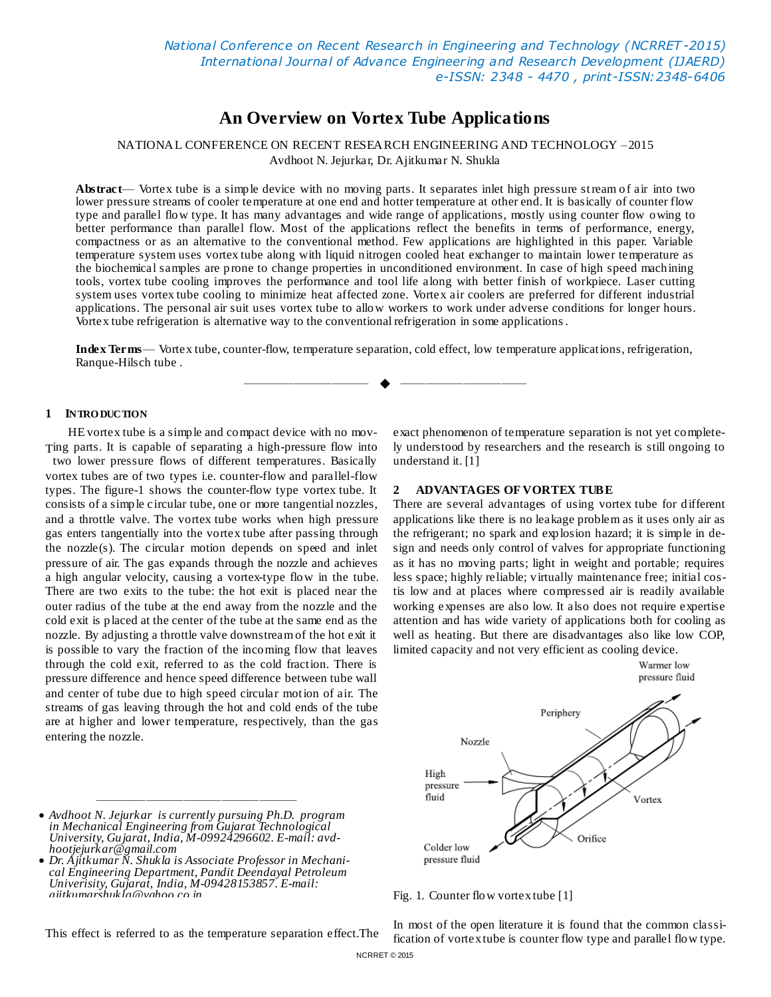# **An Overview on Vortex Tube Applications**

NATIONAL CONFERENCE ON RECENT RESEARCH ENGINEERING AND TECHNOLOGY –2015 Avdhoot N. Jejurkar, Dr. Ajitkumar N. Shukla

**Abstract**— Vortex tube is a simple device with no moving parts. It separates inlet high pressure stream of air into two lower pressure streams of cooler temperature at one end and hotter temperature at other end. It is basically of counter flow type and parallel flow type. It has many advantages and wide range of applications, mostly using counter flow owing to better performance than parallel flow. Most of the applications reflect the benefits in terms of performance, energy, compactness or as an alternative to the conventional method. Few applications are highlighted in this paper. Variable temperature system uses vortex tube along with liquid nitrogen cooled heat exchanger to maintain lower temperature as the biochemical samples are prone to change properties in unconditioned environment. In case of high speed machining tools, vortex tube cooling improves the performance and tool life along with better finish of workpiece. Laser cutting system uses vortex tube cooling to minimize heat affected zone. Vortex air coolers are preferred for different industrial applications. The personal air suit uses vortex tube to allow workers to work under adverse conditions for longer hours. Vortex tube refrigeration is alternative way to the conventional refrigeration in some applications.

**Index Terms**— Vortex tube, counter-flow, temperature separation, cold effect, low temperature applications, refrigeration, Ranque-Hilsch tube .

—————————— ——————————

#### **1 INTRO DUCTION**

HE vortex tube is a simple and compact device with no mov-Ting parts. It is capable of separating a high-pressure flow into two lower pressure flows of different temperatures. Basically vortex tubes are of two types i.e. counter-flow and parallel-flow types. The figure-1 shows the counter-flow type vortex tube. It consists of a simple circular tube, one or more tangential nozzles, and a throttle valve. The vortex tube works when high pressure gas enters tangentially into the vortex tube after passing through the nozzle(s). The circular motion depends on speed and inlet pressure of air. The gas expands through the nozzle and achieves a high angular velocity, causing a vortex-type flow in the tube. There are two exits to the tube: the hot exit is placed near the outer radius of the tube at the end away from the nozzle and the cold exit is placed at the center of the tube at the same end as the nozzle. By adjusting a throttle valve downstream of the hot exit it is possible to vary the fraction of the incoming flow that leaves through the cold exit, referred to as the cold fraction. There is pressure difference and hence speed difference between tube wall and center of tube due to high speed circular motion of air. The streams of gas leaving through the hot and cold ends of the tube are at higher and lower temperature, respectively, than the gas entering the nozzle.

exact phenomenon of temperature separation is not yet completely understood by researchers and the research is still ongoing to understand it. [1]

#### **2 ADVANTAGES OF VORTEX TUBE**

There are several advantages of using vortex tube for different applications like there is no leakage problem as it uses only air as the refrigerant; no spark and explosion hazard; it is simple in design and needs only control of valves for appropriate functioning as it has no moving parts; light in weight and portable; requires less space; highly reliable; virtually maintenance free; initial costis low and at places where compressed air is readily available working expenses are also low. It also does not require expertise attention and has wide variety of applications both for cooling as well as heating. But there are disadvantages also like low COP, limited capacity and not very efficient as cooling device.



 *Avdhoot N. Jejurkar is currently pursuing Ph.D. program in Mechanical Engineering from Gujarat Technological University, Gujarat, India, M-09924296602. E-mail: avdhootjejurkar@gmail.com*

————————————————

 *Dr. Ajitkumar N. Shukla is Associate Professor in Mechanical Engineering Department, Pandit Deendayal Petroleum Univerisity, Gujarat, India, M-09428153857. E-mail: ajitkumarshukla@yahoo.co.in*

This effect is referred to as the temperature separation effect.The

In most of the open literature it is found that the common classification of vortex tube is counter flow type and parallel flow type.

Fig. 1. Counter flow vortex tube [1]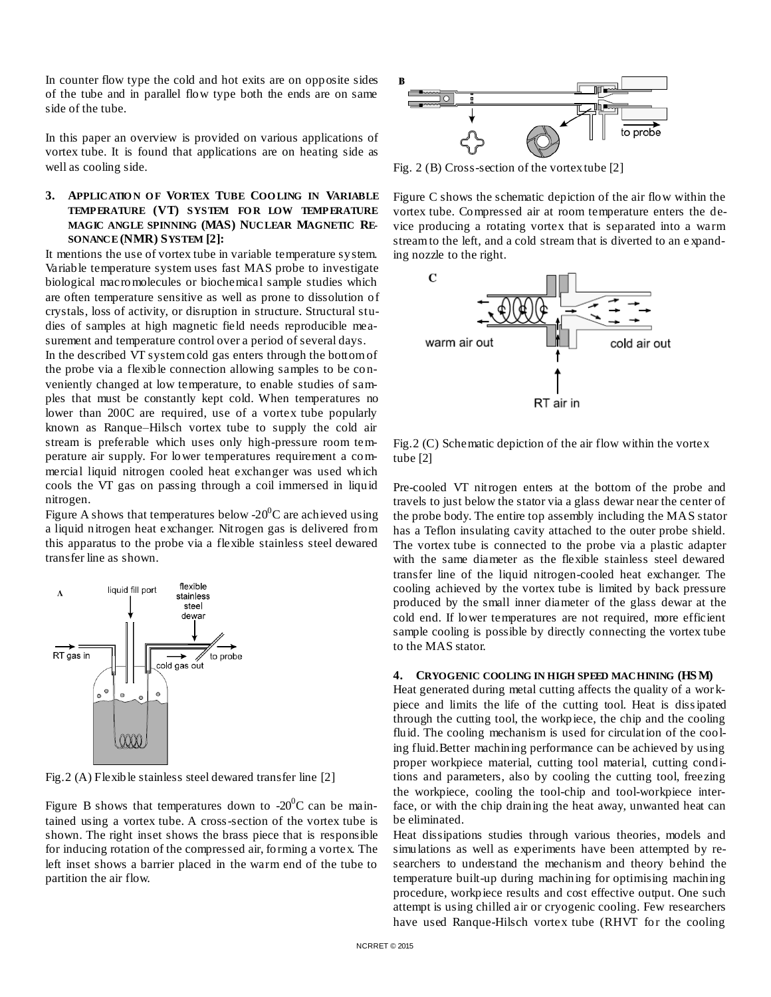In counter flow type the cold and hot exits are on opposite sides of the tube and in parallel flow type both the ends are on same side of the tube.

In this paper an overview is provided on various applications of vortex tube. It is found that applications are on heating side as well as cooling side.

## **3. APPLICATIO N O F VORTEX TUBE COO LING IN VARIABLE TEMPERATURE (VT) SYSTEM FOR LOW TEMPERATURE MAGIC ANGLE SPINNING (MAS) NUCLEAR MAGNETIC RE-SONANCE (NMR) SYSTEM [2]:**

It mentions the use of vortex tube in variable temperature system. Variable temperature system uses fast MAS probe to investigate biological macromolecules or biochemical sample studies which are often temperature sensitive as well as prone to dissolution of crystals, loss of activity, or disruption in structure. Structural studies of samples at high magnetic field needs reproducible measurement and temperature control over a period of several days.

In the described VT system cold gas enters through the bottom of the probe via a flexible connection allowing samples to be conveniently changed at low temperature, to enable studies of samples that must be constantly kept cold. When temperatures no lower than 200C are required, use of a vortex tube popularly known as Ranque–Hilsch vortex tube to supply the cold air stream is preferable which uses only high-pressure room temperature air supply. For lower temperatures requirement a commercial liquid nitrogen cooled heat exchanger was used which cools the VT gas on passing through a coil immersed in liquid nitrogen.

Figure A shows that temperatures below -20 $\degree$ C are achieved using a liquid nitrogen heat exchanger. Nitrogen gas is delivered from this apparatus to the probe via a flexible stainless steel dewared transfer line as shown.



Fig. 2 (A) Flexible stainless steel dewared transfer line [2]

Figure B shows that temperatures down to  $-20^{\circ}$ C can be maintained using a vortex tube. A cross-section of the vortex tube is shown. The right inset shows the brass piece that is responsible for inducing rotation of the compressed air, forming a vortex. The left inset shows a barrier placed in the warm end of the tube to partition the air flow.



Fig. 2 (B) Cross-section of the vortex tube [2]

Figure C shows the schematic depiction of the air flow within the vortex tube. Compressed air at room temperature enters the device producing a rotating vortex that is separated into a warm stream to the left, and a cold stream that is diverted to an e xpanding nozzle to the right.



Fig.2 (C) Schematic depiction of the air flow within the vortex tube [2]

Pre-cooled VT nitrogen enters at the bottom of the probe and travels to just below the stator via a glass dewar near the center of the probe body. The entire top assembly including the MAS stator has a Teflon insulating cavity attached to the outer probe shield. The vortex tube is connected to the probe via a plastic adapter with the same diameter as the flexible stainless steel dewared transfer line of the liquid nitrogen-cooled heat exchanger. The cooling achieved by the vortex tube is limited by back pressure produced by the small inner diameter of the glass dewar at the cold end. If lower temperatures are not required, more efficient sample cooling is possible by directly connecting the vortex tube to the MAS stator.

#### **4. CRYOGENIC COOLING IN HIGH SPEED MACHINING (HS M)**

Heat generated during metal cutting affects the quality of a workpiece and limits the life of the cutting tool. Heat is dissipated through the cutting tool, the workpiece, the chip and the cooling fluid. The cooling mechanism is used for circulation of the cooling fluid.Better machining performance can be achieved by using proper workpiece material, cutting tool material, cutting conditions and parameters, also by cooling the cutting tool, freezing the workpiece, cooling the tool-chip and tool-workpiece interface, or with the chip draining the heat away, unwanted heat can be eliminated.

Heat dissipations studies through various theories, models and simulations as well as experiments have been attempted by researchers to understand the mechanism and theory behind the temperature built-up during machining for optimising machining procedure, workpiece results and cost effective output. One such attempt is using chilled air or cryogenic cooling. Few researchers have used Ranque-Hilsch vortex tube (RHVT for the cooling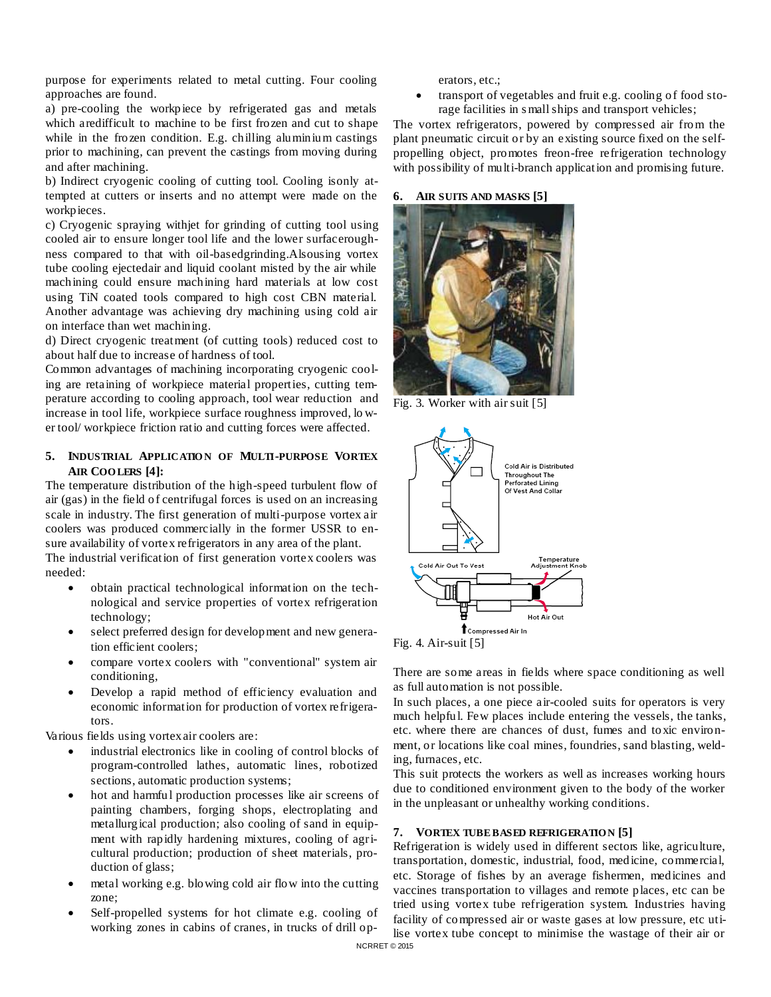purpose for experiments related to metal cutting. Four cooling approaches are found.

a) pre-cooling the workpiece by refrigerated gas and metals which aredifficult to machine to be first frozen and cut to shape while in the frozen condition. E.g. chilling aluminium castings prior to machining, can prevent the castings from moving during and after machining.

b) Indirect cryogenic cooling of cutting tool. Cooling isonly attempted at cutters or inserts and no attempt were made on the workpieces.

c) Cryogenic spraying withjet for grinding of cutting tool using cooled air to ensure longer tool life and the lower surfaceroughness compared to that with oil-basedgrinding.Alsousing vortex tube cooling ejectedair and liquid coolant misted by the air while machining could ensure machining hard materials at low cost using TiN coated tools compared to high cost CBN material. Another advantage was achieving dry machining using cold air on interface than wet machining.

d) Direct cryogenic treatment (of cutting tools) reduced cost to about half due to increase of hardness of tool.

Common advantages of machining incorporating cryogenic cooling are retaining of workpiece material properties, cutting temperature according to cooling approach, tool wear reduction and increase in tool life, workpiece surface roughness improved, lo wer tool/ workpiece friction ratio and cutting forces were affected.

### **5. INDUSTRIAL APPLICATIO N OF MULTI-PURPOSE VORTEX AIR COO LERS [4]:**

The temperature distribution of the high-speed turbulent flow of air (gas) in the field of centrifugal forces is used on an increasing scale in industry. The first generation of multi-purpose vortex air coolers was produced commercially in the former USSR to ensure availability of vortex refrigerators in any area of the plant.

The industrial verification of first generation vortex coolers was needed:

- obtain practical technological information on the technological and service properties of vortex refrigeration technology;
- select preferred design for development and new generation efficient coolers;
- compare vortex coolers with "conventional" system air conditioning,
- Develop a rapid method of efficiency evaluation and economic information for production of vortex refrigerators.

Various fields using vortex air coolers are:

- industrial electronics like in cooling of control blocks of program-controlled lathes, automatic lines, robotized sections, automatic production systems;
- hot and harmful production processes like air screens of painting chambers, forging shops, electroplating and metallurgical production; also cooling of sand in equipment with rapidly hardening mixtures, cooling of agricultural production; production of sheet materials, production of glass;
- metal working e.g. blowing cold air flow into the cutting zone;
- Self-propelled systems for hot climate e.g. cooling of working zones in cabins of cranes, in trucks of drill op-

erators, etc.;

 transport of vegetables and fruit e.g. cooling of food storage facilities in s mall ships and transport vehicles;

The vortex refrigerators, powered by compressed air from the plant pneumatic circuit or by an existing source fixed on the selfpropelling object, promotes freon-free refrigeration technology with possibility of multi-branch application and promising future.

### **6. AIR SUITS AND MASKS [5]**



Fig. 3. Worker with air suit [5]



Fig. 4. Air-suit [5]

There are some areas in fields where space conditioning as well as full automation is not possible.

In such places, a one piece air-cooled suits for operators is very much helpful. Few places include entering the vessels, the tanks, etc. where there are chances of dust, fumes and toxic environment, or locations like coal mines, foundries, sand blasting, welding, furnaces, etc.

This suit protects the workers as well as increases working hours due to conditioned environment given to the body of the worker in the unpleasant or unhealthy working conditions.

## **7. VORTEX TUBE BASED REFRIGERATIO N [5]**

Refrigeration is widely used in different sectors like, agriculture, transportation, domestic, industrial, food, medicine, commercial, etc. Storage of fishes by an average fishermen, medicines and vaccines transportation to villages and remote places, etc can be tried using vortex tube refrigeration system. Industries having facility of compressed air or waste gases at low pressure, etc utilise vortex tube concept to minimise the wastage of their air or